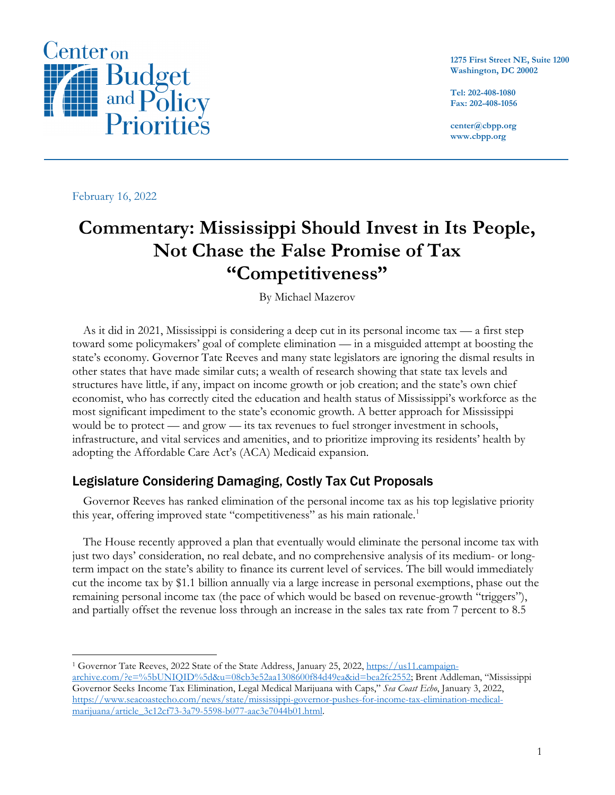

**1275 First Street NE, Suite 1200 Washington, DC 20002**

**Tel: 202-408-1080 Fax: 202-408-1056**

**center@cbpp.org www.cbpp.org**

February 16, 2022

## **Commentary: Mississippi Should Invest in Its People, Not Chase the False Promise of Tax "Competitiveness"**

By Michael Mazerov

As it did in 2021, Mississippi is considering a deep cut in its personal income tax — a first step toward some policymakers' goal of complete elimination — in a misguided attempt at boosting the state's economy. Governor Tate Reeves and many state legislators are ignoring the dismal results in other states that have made similar cuts; a wealth of research showing that state tax levels and structures have little, if any, impact on income growth or job creation; and the state's own chief economist, who has correctly cited the education and health status of Mississippi's workforce as the most significant impediment to the state's economic growth. A better approach for Mississippi would be to protect — and grow — its tax revenues to fuel stronger investment in schools, infrastructure, and vital services and amenities, and to prioritize improving its residents' health by adopting the Affordable Care Act's (ACA) Medicaid expansion.

## Legislature Considering Damaging, Costly Tax Cut Proposals

Governor Reeves has ranked elimination of the personal income tax as his top legislative priority this year, offering improved state "competitiveness" as his main rationale.<sup>[1](#page-0-0)</sup>

The House recently approved a plan that eventually would eliminate the personal income tax with just two days' consideration, no real debate, and no comprehensive analysis of its medium- or longterm impact on the state's ability to finance its current level of services. The bill would immediately cut the income tax by \$1.1 billion annually via a large increase in personal exemptions, phase out the remaining personal income tax (the pace of which would be based on revenue-growth "triggers"), and partially offset the revenue loss through an increase in the sales tax rate from 7 percent to 8.5

<span id="page-0-0"></span><sup>1</sup> Governor Tate Reeves, 2022 State of the State Address, January 25, 2022, [https://us11.campaign](https://us11.campaign-archive.com/?e=%5bUNIQID%5d&u=08cb3e52aa1308600f84d49ea&id=bea2fc2552)[archive.com/?e=%5bUNIQID%5d&u=08cb3e52aa1308600f84d49ea&id=bea2fc2552;](https://us11.campaign-archive.com/?e=%5bUNIQID%5d&u=08cb3e52aa1308600f84d49ea&id=bea2fc2552) Brent Addleman, "Mississippi Governor Seeks Income Tax Elimination, Legal Medical Marijuana with Caps," *Sea Coast Echo*, January 3, 2022, [https://www.seacoastecho.com/news/state/mississippi-governor-pushes-for-income-tax-elimination-medical](https://www.seacoastecho.com/news/state/mississippi-governor-pushes-for-income-tax-elimination-medical-marijuana/article_3c12cf73-3a79-5598-b077-aac3e7044b01.html)[marijuana/article\\_3c12cf73-3a79-5598-b077-aac3e7044b01.html.](https://www.seacoastecho.com/news/state/mississippi-governor-pushes-for-income-tax-elimination-medical-marijuana/article_3c12cf73-3a79-5598-b077-aac3e7044b01.html)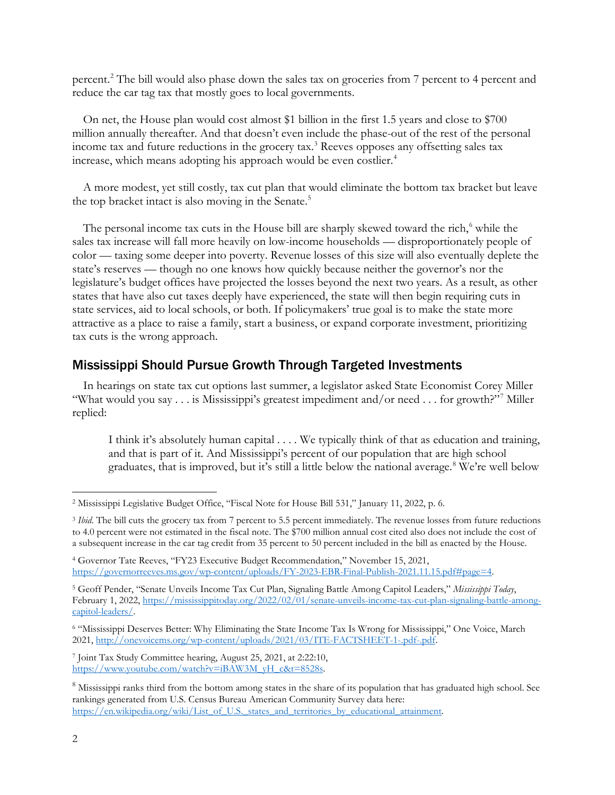percent.[2](#page-1-0) The bill would also phase down the sales tax on groceries from 7 percent to 4 percent and reduce the car tag tax that mostly goes to local governments.

On net, the House plan would cost almost \$1 billion in the first 1.5 years and close to \$700 million annually thereafter. And that doesn't even include the phase-out of the rest of the personal income tax and future reductions in the grocery tax. [3](#page-1-1) Reeves opposes any offsetting sales tax increase, which means adopting his approach would be even costlier.<sup>[4](#page-1-2)</sup>

A more modest, yet still costly, tax cut plan that would eliminate the bottom tax bracket but leave the top bracket intact is also moving in the Senate. [5](#page-1-3)

The personal income tax cuts in the House bill are sharply skewed toward the rich,<sup>[6](#page-1-4)</sup> while the sales tax increase will fall more heavily on low-income households — disproportionately people of color — taxing some deeper into poverty. Revenue losses of this size will also eventually deplete the state's reserves — though no one knows how quickly because neither the governor's nor the legislature's budget offices have projected the losses beyond the next two years. As a result, as other states that have also cut taxes deeply have experienced, the state will then begin requiring cuts in state services, aid to local schools, or both. If policymakers' true goal is to make the state more attractive as a place to raise a family, start a business, or expand corporate investment, prioritizing tax cuts is the wrong approach.

## Mississippi Should Pursue Growth Through Targeted Investments

In hearings on state tax cut options last summer, a legislator asked State Economist Corey Miller "What would you say . . . is Mississippi's greatest impediment and/or need . . . for growth?"[7](#page-1-5) Miller replied:

I think it's absolutely human capital . . . . We typically think of that as education and training, and that is part of it. And Mississippi's percent of our population that are high school graduates, that is improved, but it's still a little below the national average.<sup>[8](#page-1-6)</sup> We're well below

<span id="page-1-5"></span><sup>7</sup> Joint Tax Study Committee hearing, August 25, 2021, at 2:22:10, [https://www.youtube.com/watch?v=iBAW3M\\_yH\\_c&t=8528s.](https://www.youtube.com/watch?v=iBAW3M_yH_c&t=8528s)

<span id="page-1-0"></span><sup>2</sup> Mississippi Legislative Budget Office, "Fiscal Note for House Bill 531," January 11, 2022, p. 6.

<span id="page-1-1"></span><sup>&</sup>lt;sup>3</sup> *Ibid*. The bill cuts the grocery tax from 7 percent to 5.5 percent immediately. The revenue losses from future reductions to 4.0 percent were not estimated in the fiscal note. The \$700 million annual cost cited also does not include the cost of a subsequent increase in the car tag credit from 35 percent to 50 percent included in the bill as enacted by the House.

<span id="page-1-2"></span><sup>4</sup> Governor Tate Reeves, "FY23 Executive Budget Recommendation," November 15, 2021, [https://governorreeves.ms.gov/wp-content/uploads/FY-2023-EBR-Final-Publish-2021.11.15.pdf#page=4.](https://governorreeves.ms.gov/wp-content/uploads/FY-2023-EBR-Final-Publish-2021.11.15.pdf#page=4)

<span id="page-1-3"></span><sup>5</sup> Geoff Pender, "Senate Unveils Income Tax Cut Plan, Signaling Battle Among Capitol Leaders," *Mississippi Today*, February 1, 2022, [https://mississippitoday.org/2022/02/01/senate-unveils-income-tax-cut-plan-signaling-battle-among](https://mississippitoday.org/2022/02/01/senate-unveils-income-tax-cut-plan-signaling-battle-among-capitol-leaders/)[capitol-leaders/.](https://mississippitoday.org/2022/02/01/senate-unveils-income-tax-cut-plan-signaling-battle-among-capitol-leaders/)

<span id="page-1-4"></span><sup>6</sup> "Mississippi Deserves Better: Why Eliminating the State Income Tax Is Wrong for Mississippi," One Voice, March 2021, [http://onevoicems.org/wp-content/uploads/2021/03/ITE-FACTSHEET-1-.pdf-.pdf.](http://onevoicems.org/wp-content/uploads/2021/03/ITE-FACTSHEET-1-.pdf-.pdf)

<span id="page-1-6"></span><sup>&</sup>lt;sup>8</sup> Mississippi ranks third from the bottom among states in the share of its population that has graduated high school. See rankings generated from U.S. Census Bureau American Community Survey data here: [https://en.wikipedia.org/wiki/List\\_of\\_U.S.\\_states\\_and\\_territories\\_by\\_educational\\_attainment.](https://en.wikipedia.org/wiki/List_of_U.S._states_and_territories_by_educational_attainment)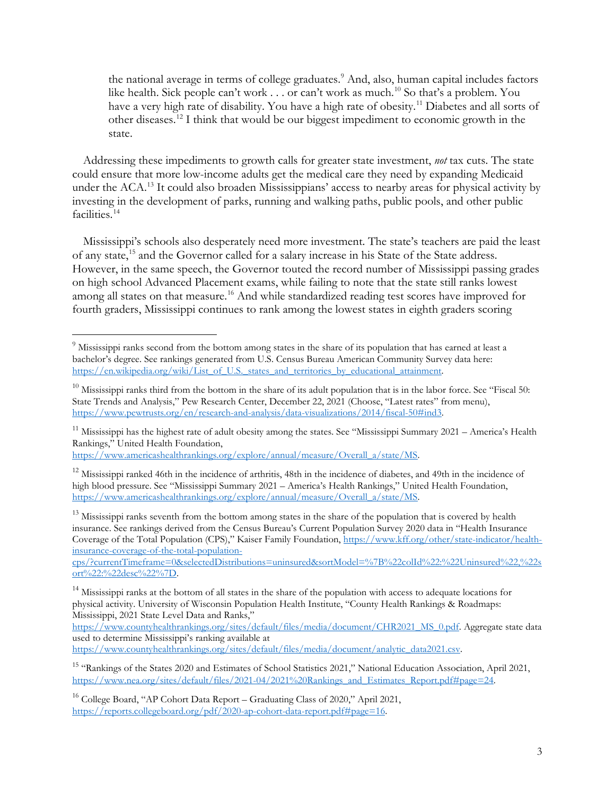the national average in terms of college graduates.<sup>9</sup> And, also, human capital includes factors like health. Sick people can't work . . . or can't work as much.<sup>[10](#page-2-1)</sup> So that's a problem. You have a very high rate of disability. You have a high rate of obesity.<sup>11</sup> Diabetes and all sorts of other diseases.[12](#page-2-3) I think that would be our biggest impediment to economic growth in the state.

Addressing these impediments to growth calls for greater state investment, *not* tax cuts. The state could ensure that more low-income adults get the medical care they need by expanding Medicaid under the ACA.<sup>[13](#page-2-4)</sup> It could also broaden Mississippians' access to nearby areas for physical activity by investing in the development of parks, running and walking paths, public pools, and other public facilities.<sup>[14](#page-2-5)</sup>

Mississippi's schools also desperately need more investment. The state's teachers are paid the least of any state[,15](#page-2-6) and the Governor called for a salary increase in his State of the State address. However, in the same speech, the Governor touted the record number of Mississippi passing grades on high school Advanced Placement exams, while failing to note that the state still ranks lowest among all states on that measure.<sup>[16](#page-2-7)</sup> And while standardized reading test scores have improved for fourth graders, Mississippi continues to rank among the lowest states in eighth graders scoring

[https://www.americashealthrankings.org/explore/annual/measure/Overall\\_a/state/MS.](https://www.americashealthrankings.org/explore/annual/measure/Overall_a/state/MS)

<span id="page-2-4"></span> $13$  Mississippi ranks seventh from the bottom among states in the share of the population that is covered by health insurance. See rankings derived from the Census Bureau's Current Population Survey 2020 data in "Health Insurance Coverage of the Total Population (CPS)," Kaiser Family Foundation, [https://www.kff.org/other/state-indicator/health](https://www.kff.org/other/state-indicator/health-insurance-coverage-of-the-total-population-cps/?currentTimeframe=0&selectedDistributions=uninsured&sortModel=%7B%22colId%22:%22Uninsured%22,%22sort%22:%22desc%22%7D)[insurance-coverage-of-the-total-population-](https://www.kff.org/other/state-indicator/health-insurance-coverage-of-the-total-population-cps/?currentTimeframe=0&selectedDistributions=uninsured&sortModel=%7B%22colId%22:%22Uninsured%22,%22sort%22:%22desc%22%7D)

[cps/?currentTimeframe=0&selectedDistributions=uninsured&sortModel=%7B%22colId%22:%22Uninsured%22,%22s](https://www.kff.org/other/state-indicator/health-insurance-coverage-of-the-total-population-cps/?currentTimeframe=0&selectedDistributions=uninsured&sortModel=%7B%22colId%22:%22Uninsured%22,%22sort%22:%22desc%22%7D) [ort%22:%22desc%22%7D.](https://www.kff.org/other/state-indicator/health-insurance-coverage-of-the-total-population-cps/?currentTimeframe=0&selectedDistributions=uninsured&sortModel=%7B%22colId%22:%22Uninsured%22,%22sort%22:%22desc%22%7D)

<span id="page-2-5"></span><sup>14</sup> Mississippi ranks at the bottom of all states in the share of the population with access to adequate locations for physical activity. University of Wisconsin Population Health Institute, "County Health Rankings & Roadmaps: Mississippi, 2021 State Level Data and Ranks,"

[https://www.countyhealthrankings.org/sites/default/files/media/document/CHR2021\\_MS\\_0.pdf.](https://www.countyhealthrankings.org/sites/default/files/media/document/CHR2021_MS_0.pdf) Aggregate state data used to determine Mississippi's ranking available at

[https://www.countyhealthrankings.org/sites/default/files/media/document/analytic\\_data2021.csv.](https://www.countyhealthrankings.org/sites/default/files/media/document/analytic_data2021.csv)

<span id="page-2-6"></span><sup>15</sup> "Rankings of the States 2020 and Estimates of School Statistics 2021," National Education Association, April 2021, [https://www.nea.org/sites/default/files/2021-04/2021%20Rankings\\_and\\_Estimates\\_Report.pdf#page=24.](https://www.nea.org/sites/default/files/2021-04/2021%20Rankings_and_Estimates_Report.pdf#page=24)

<span id="page-2-0"></span><sup>&</sup>lt;sup>9</sup> Mississippi ranks second from the bottom among states in the share of its population that has earned at least a bachelor's degree. See rankings generated from U.S. Census Bureau American Community Survey data here: [https://en.wikipedia.org/wiki/List\\_of\\_U.S.\\_states\\_and\\_territories\\_by\\_educational\\_attainment.](https://en.wikipedia.org/wiki/List_of_U.S._states_and_territories_by_educational_attainment)

<span id="page-2-1"></span> $10$  Mississippi ranks third from the bottom in the share of its adult population that is in the labor force. See "Fiscal 50: State Trends and Analysis," Pew Research Center, December 22, 2021 (Choose, "Latest rates" from menu), [https://www.pewtrusts.org/en/research-and-analysis/data-visualizations/2014/fiscal-50#ind3.](https://www.pewtrusts.org/en/research-and-analysis/data-visualizations/2014/fiscal-50#ind3)

<span id="page-2-2"></span> $11$  Mississippi has the highest rate of adult obesity among the states. See "Mississippi Summary 2021 – America's Health Rankings," United Health Foundation,

<span id="page-2-3"></span> $12$  Mississippi ranked 46th in the incidence of arthritis, 48th in the incidence of diabetes, and 49th in the incidence of high blood pressure. See "Mississippi Summary 2021 – America's Health Rankings," United Health Foundation, [https://www.americashealthrankings.org/explore/annual/measure/Overall\\_a/state/MS.](https://www.americashealthrankings.org/explore/annual/measure/Overall_a/state/MS)

<span id="page-2-7"></span> $^{16}$  College Board, "AP Cohort Data Report – Graduating Class of 2020," April 2021, [https://reports.collegeboard.org/pdf/2020-ap-cohort-data-report.pdf#page=16.](https://reports.collegeboard.org/pdf/2020-ap-cohort-data-report.pdf#page=16)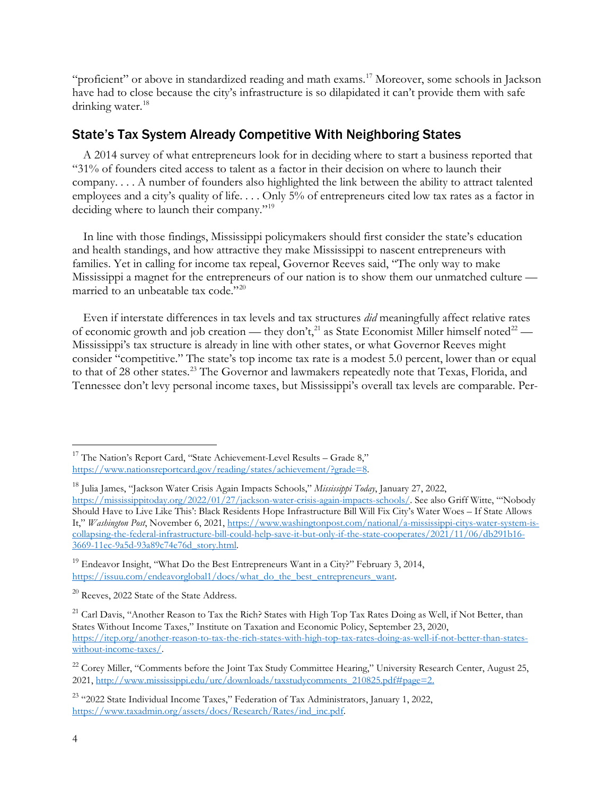"proficient" or above in standardized reading and math exams. [17](#page-3-0) Moreover, some schools in Jackson have had to close because the city's infrastructure is so dilapidated it can't provide them with safe drinking water.<sup>[18](#page-3-1)</sup>

## State's Tax System Already Competitive With Neighboring States

A 2014 survey of what entrepreneurs look for in deciding where to start a business reported that "31% of founders cited access to talent as a factor in their decision on where to launch their company. . . . A number of founders also highlighted the link between the ability to attract talented employees and a city's quality of life. . . . Only 5% of entrepreneurs cited low tax rates as a factor in deciding where to launch their company."[19](#page-3-2)

In line with those findings, Mississippi policymakers should first consider the state's education and health standings, and how attractive they make Mississippi to nascent entrepreneurs with families. Yet in calling for income tax repeal, Governor Reeves said, "The only way to make Mississippi a magnet for the entrepreneurs of our nation is to show them our unmatched culture — married to an unbeatable tax code."<sup>[20](#page-3-3)</sup>

Even if interstate differences in tax levels and tax structures *did* meaningfully affect relative rates of economic growth and job creation — they don't,<sup>[21](#page-3-4)</sup> as State Economist Miller himself noted<sup>[22](#page-3-5)</sup> — Mississippi's tax structure is already in line with other states, or what Governor Reeves might consider "competitive." The state's top income tax rate is a modest 5.0 percent, lower than or equal to that of 28 other states.<sup>[23](#page-3-6)</sup> The Governor and lawmakers repeatedly note that Texas, Florida, and Tennessee don't levy personal income taxes, but Mississippi's overall tax levels are comparable. Per-

<span id="page-3-0"></span><sup>&</sup>lt;sup>17</sup> The Nation's Report Card, "State Achievement-Level Results – Grade 8," [https://www.nationsreportcard.gov/reading/states/achievement/?grade=8.](https://www.nationsreportcard.gov/reading/states/achievement/?grade=8)

<span id="page-3-1"></span><sup>18</sup> Julia James, "Jackson Water Crisis Again Impacts Schools," *Mississippi Today*, January 27, 2022, [https://mississippitoday.org/2022/01/27/jackson-water-crisis-again-impacts-schools/.](https://mississippitoday.org/2022/01/27/jackson-water-crisis-again-impacts-schools/) See also Griff Witte, "'Nobody Should Have to Live Like This': Black Residents Hope Infrastructure Bill Will Fix City's Water Woes – If State Allows It," *Washington Post*, November 6, 2021, [https://www.washingtonpost.com/national/a-mississippi-citys-water-system-is](https://www.washingtonpost.com/national/a-mississippi-citys-water-system-is-collapsing-the-federal-infrastructure-bill-could-help-save-it-but-only-if-the-state-cooperates/2021/11/06/db291b16-3669-11ec-9a5d-93a89c74e76d_story.html)[collapsing-the-federal-infrastructure-bill-could-help-save-it-but-only-if-the-state-cooperates/2021/11/06/db291b16-](https://www.washingtonpost.com/national/a-mississippi-citys-water-system-is-collapsing-the-federal-infrastructure-bill-could-help-save-it-but-only-if-the-state-cooperates/2021/11/06/db291b16-3669-11ec-9a5d-93a89c74e76d_story.html) [3669-11ec-9a5d-93a89c74e76d\\_story.html.](https://www.washingtonpost.com/national/a-mississippi-citys-water-system-is-collapsing-the-federal-infrastructure-bill-could-help-save-it-but-only-if-the-state-cooperates/2021/11/06/db291b16-3669-11ec-9a5d-93a89c74e76d_story.html)

<span id="page-3-2"></span> $19$  Endeavor Insight, "What Do the Best Entrepreneurs Want in a City?" February 3, 2014, [https://issuu.com/endeavorglobal1/docs/what\\_do\\_the\\_best\\_entrepreneurs\\_want.](https://issuu.com/endeavorglobal1/docs/what_do_the_best_entrepreneurs_want)

<span id="page-3-3"></span><sup>&</sup>lt;sup>20</sup> Reeves, 2022 State of the State Address.

<span id="page-3-4"></span><sup>&</sup>lt;sup>21</sup> Carl Davis, "Another Reason to Tax the Rich? States with High Top Tax Rates Doing as Well, if Not Better, than States Without Income Taxes," Institute on Taxation and Economic Policy, September 23, 2020, [https://itep.org/another-reason-to-tax-the-rich-states-with-high-top-tax-rates-doing-as-well-if-not-better-than-states](https://itep.org/another-reason-to-tax-the-rich-states-with-high-top-tax-rates-doing-as-well-if-not-better-than-states-without-income-taxes/)[without-income-taxes/.](https://itep.org/another-reason-to-tax-the-rich-states-with-high-top-tax-rates-doing-as-well-if-not-better-than-states-without-income-taxes/)

<span id="page-3-5"></span><sup>&</sup>lt;sup>22</sup> Corey Miller, "Comments before the Joint Tax Study Committee Hearing," University Research Center, August 25, 2021, [http://www.mississippi.edu/urc/downloads/taxstudycomments\\_210825.pdf#page=2.](http://www.mississippi.edu/urc/downloads/taxstudycomments_210825.pdf#page=2)

<span id="page-3-6"></span><sup>&</sup>lt;sup>23</sup> "2022 State Individual Income Taxes," Federation of Tax Administrators, January 1, 2022, [https://www.taxadmin.org/assets/docs/Research/Rates/ind\\_inc.pdf.](https://www.taxadmin.org/assets/docs/Research/Rates/ind_inc.pdf)